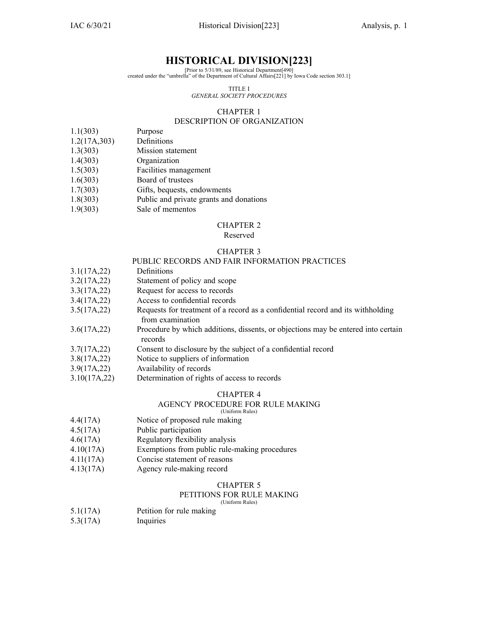# **HISTORICAL DIVISION[223]**

[Prior to 5/31/89, see Historical Department[490] created under the "umbrella" of the Department of Cultural Affairs[221] by Iowa Code section [303.1\]](https://www.legis.iowa.gov/docs/ico/section/303.1.pdf)

> TITLE I *GENERAL SOCIETY PROCEDURES*

#### CHAPTER 1

### DESCRIPTION OF ORGANIZATION

- 1.1(303) Purpose
- 1.2(17A,303) Definitions
- 1.3(303) Mission statement
- 1.4(303) Organization
- 1.5(303) Facilities managemen<sup>t</sup>
- 1.6(303) Board of trustees
- 1.7(303) Gifts, bequests, endowments
- 1.8(303) Public and private grants and donations
- 1.9(303) Sale of mementos

#### CHAPTER 2

#### Reserved

#### CHAPTER 3

#### PUBLIC RECORDS AND FAIR INFORMATION PRACTICES

- 3.1(17A,22) Definitions
- 3.2(17A,22) Statement of policy and scope
- 3.3(17A,22) Request for access to records
- 3.4(17A,22) Access to confidential records
- 3.5(17A,22) Requests for treatment of <sup>a</sup> record as <sup>a</sup> confidential record and its withholding from examination
- 3.6(17A,22) Procedure by which additions, dissents, or objections may be entered into certain records
- 3.7(17A,22) Consent to disclosure by the subject of <sup>a</sup> confidential record
- 3.8(17A,22) Notice to suppliers of information
- 3.9(17A,22) Availability of records
- 3.10(17A,22) Determination of rights of access to records

#### CHAPTER 4

#### AGENCY PROCEDURE FOR RULE MAKING (Uniform Rules)

- 4.4(17A) Notice of proposed rule making
- 4.5(17A) Public participation
- 4.6(17A) Regulatory flexibility analysis
- 4.10(17A) Exemptions from public rule-making procedures
- 4.11(17A) Concise statement of reasons
- 4.13(17A) Agency rule-making record

### CHAPTER 5

#### PETITIONS FOR RULE MAKING (Uniform Rules)

5.1(17A) Petition for rule making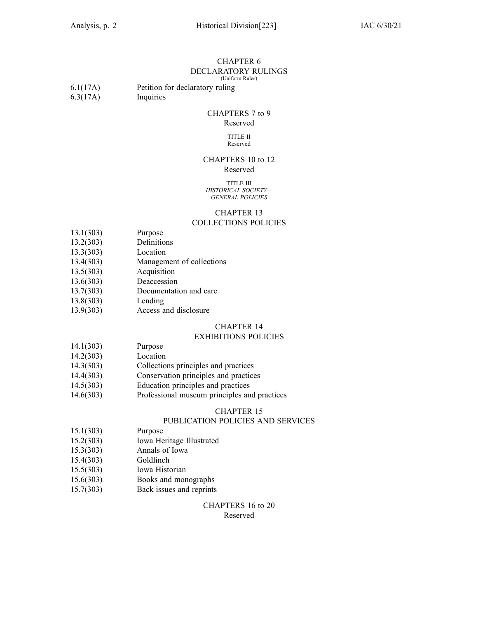### CHAPTER 6 DECLARATORY RULINGS

(Uniform Rules)

| 6.1(17A) | Petition for declaratory ruling |
|----------|---------------------------------|
| 6.3(17A) | Inquiries                       |

# CHAPTERS 7 to 9

# Reserved

#### TITLE II Reserved

#### CHAPTERS 10 to 12 Reserved

#### TITLE III *HISTORICAL SOCIETY— GENERAL POLICIES*

#### CHAPTER 13

#### COLLECTIONS POLICIES

- 13.1(303) Purpose
- 13.2(303) Definitions
- 13.3(303) Location
- 13.4(303) Management of collections
- 13.5(303) Acquisition
- 13.6(303) Deaccession
- 13.7(303) Documentation and care
- 13.8(303) Lending
- 13.9(303) Access and disclosure

### CHAPTER 14

#### EXHIBITIONS POLICIES

### 14.1(303) Purpose

- 14.2(303) Location
- 14.3(303) Collections principles and practices
- 14.4(303) Conservation principles and practices
- 14.5(303) Education principles and practices
- 14.6(303) Professional museum principles and practices

#### CHAPTER 15

### PUBLICATION POLICIES AND SERVICES

- 15.1(303) Purpose
- 15.2(303) Iowa Heritage Illustrated
- 15.3(303) Annals of Iowa
- 15.4(303) Goldfinch
- 15.5(303) Iowa Historian
- 15.6(303) Books and monographs
- 15.7(303) Back issues and reprints

#### CHAPTERS 16 to 20 Reserved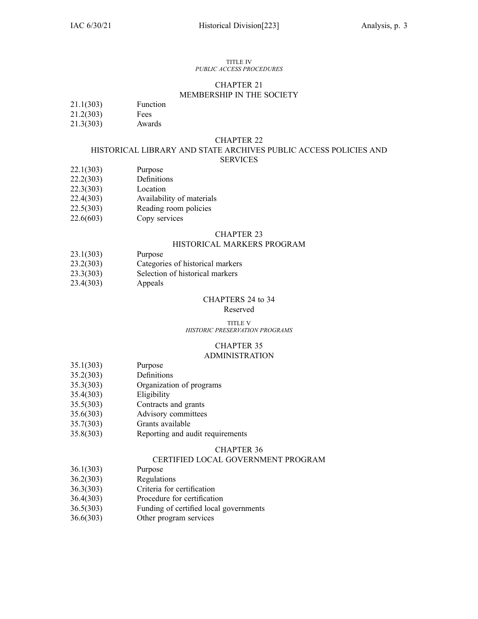#### TITLE IV *PUBLIC ACCESS PROCEDURES*

#### CHAPTER 21 MEMBERSHIP IN THE SOCIETY

- 21.1(303) Function
- 21.2(303) Fees
- 21.3(303) Awards

#### CHAPTER 22

#### HISTORICAL LIBRARY AND STATE ARCHIVES PUBLIC ACCESS POLICIES AND **SERVICES**

- 22.1(303) Purpose
- 22.2(303) Definitions
- 22.3(303) Location
- 22.4(303) Availability of materials
- 22.5(303) Reading room policies
- 22.6(603) Copy services

### CHAPTER 23

#### HISTORICAL MARKERS PROGRAM

- 23.1(303) Purpose
- 23.2(303) Categories of historical markers
- 23.3(303) Selection of historical markers
- 23.4(303) Appeals

#### CHAPTERS 24 to 34

#### Reserved

#### TITLE V *HISTORIC PRESERVATION PROGRAMS*

#### CHAPTER 35 ADMINISTRATION

- 35.1(303) Purpose
- 35.2(303) Definitions
- 35.3(303) Organization of programs
- 35.4(303) Eligibility
- 35.5(303) Contracts and grants
- 35.6(303) Advisory committees
- 35.7(303) Grants available
- 35.8(303) Reporting and audit requirements

#### CHAPTER 36

#### CERTIFIED LOCAL GOVERNMENT PROGRAM

- 36.1(303) Purpose
- 36.2(303) Regulations
- 36.3(303) Criteria for certification
- 36.4(303) Procedure for certification
- 36.5(303) Funding of certified local governments
- 36.6(303) Other program services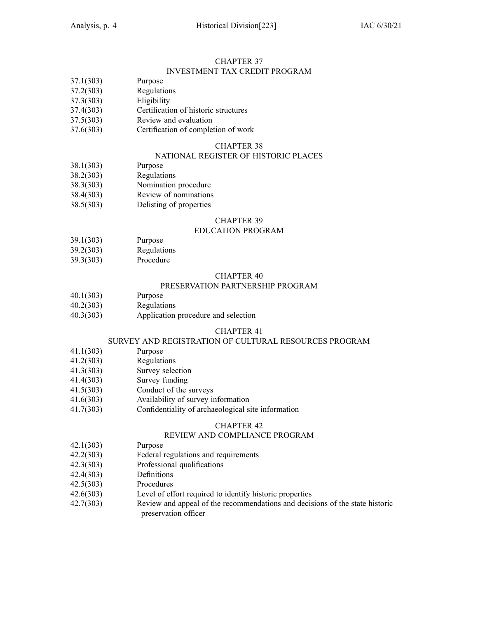#### CHAPTER 37 INVESTMENT TAX CREDIT PROGRAM

- 37.1(303) Purpose
- 37.2(303) Regulations
- 37.3(303) Eligibility
- 37.4(303) Certification of historic structures
- 37.5(303) Review and evaluation
- 37.6(303) Certification of completion of work

#### CHAPTER 38

### NATIONAL REGISTER OF HISTORIC PLACES

- 38.1(303) Purpose
- 38.2(303) Regulations
- 38.3(303) Nomination procedure
- 38.4(303) Review of nominations
- 38.5(303) Delisting of properties

#### CHAPTER 39

#### EDUCATION PROGRAM

- 39.1(303) Purpose
- 39.2(303) Regulations
- 39.3(303) Procedure

#### CHAPTER 40

#### PRESERVATION PARTNERSHIP PROGRAM

- 40.1(303) Purpose
- 40.2(303) Regulations
- 40.3(303) Application procedure and selection

#### CHAPTER 41

#### SURVEY AND REGISTRATION OF CULTURAL RESOURCES PROGRAM

- 41.1(303) Purpose
- 41.2(303) Regulations
- 41.3(303) Survey selection
- 41.4(303) Survey funding
- 41.5(303) Conduct of the surveys
- 41.6(303) Availability of survey information
- 41.7(303) Confidentiality of archaeological site information

### CHAPTER 42

#### REVIEW AND COMPLIANCE PROGRAM

- 42.1(303) Purpose
- 42.2(303) Federal regulations and requirements
- 42.3(303) Professional qualifications
- 42.4(303) Definitions
- 42.5(303) Procedures
- 42.6(303) Level of effort required to identify historic properties
- 42.7(303) Review and appeal of the recommendations and decisions of the state historic preservation officer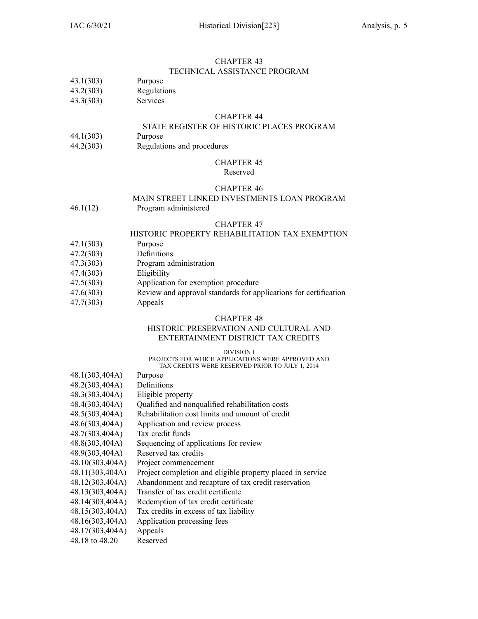#### CHAPTER 43 TECHNICAL ASSISTANCE PROGRAM

### 43.1(303) Purpose

- 43.2(303) Regulations
- 43.3(303) Services

#### CHAPTER 44

#### STATE REGISTER OF HISTORIC PLACES PROGRAM

- 44.1(303) Purpose
- 44.2(303) Regulations and procedures

# CHAPTER 45

#### Reserved

#### CHAPTER 46

# MAIN STREET LINKED INVESTMENTS LOAN PROGRAM

46.1(12) Program administered

#### CHAPTER 47

#### HISTORIC PROPERTY REHABILITATION TAX EXEMPTION

- 47.1(303) Purpose
- 47.2(303) Definitions
- 47.3(303) Program administration
- 47.4(303) Eligibility
- 47.5(303) Application for exemption procedure
- 47.6(303) Review and approval standards for applications for certification
- 47.7(303) Appeals

#### CHAPTER 48

#### HISTORIC PRESERVATION AND CULTURAL AND ENTERTAINMENT DISTRICT TAX CREDITS

#### DIVISION I

#### PROJECTS FOR WHICH APPLICATIONS WERE APPROVED AND TAX CREDITS WERE RESERVED PRIOR TO JULY 1, 2014

- 48.1(303,404A) Purpose
- 48.2(303,404A) Definitions
- 48.3(303,404A) Eligible property
- 48.4(303,404A) Qualified and nonqualified rehabilitation costs
- 48.5(303,404A) Rehabilitation cost limits and amount of credit
- 48.6(303,404A) Application and review process
- 48.7(303,404A) Tax credit funds
- 48.8(303,404A) Sequencing of applications for review
- 48.9(303,404A) Reserved tax credits
- 48.10(303,404A) Project commencement
- 48.11(303,404A) Project completion and eligible property placed in service
- 48.12(303,404A) Abandonment and recapture of tax credit reservation
- 48.13(303,404A) Transfer of tax credit certificate
- 48.14(303,404A) Redemption of tax credit certificate
- 48.15(303,404A) Tax credits in excess of tax liability
- 48.16(303,404A) Application processing fees
- 48.17(303,404A) Appeals
- 48.18 to 48.20 Reserved